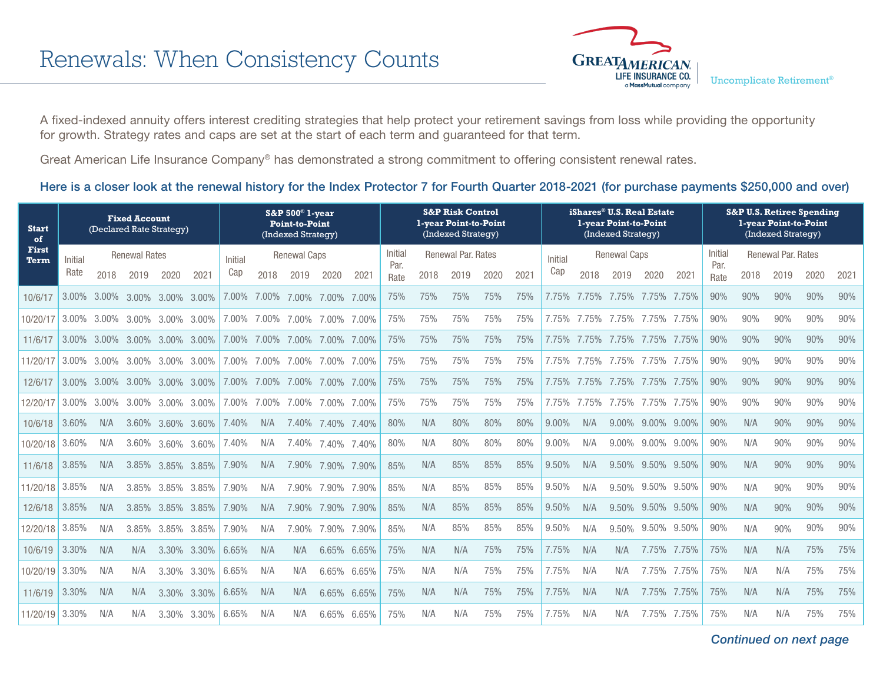

A fixed-indexed annuity offers interest crediting strategies that help protect your retirement savings from loss while providing the opportunity for growth. Strategy rates and caps are set at the start of each term and guaranteed for that term.

Great American Life Insurance Company® has demonstrated a strong commitment to offering consistent renewal rates.

## Here is a closer look at the renewal history for the Index Protector 7 for Fourth Quarter 2018-2021 (for purchase payments \$250,000 and over)

| <b>Start</b><br>of | <b>Fixed Account</b><br>(Declared Rate Strategy) |          |                      |          |       | $S\&P 500^{\circ}$ 1-year<br><b>Point-to-Point</b><br>(Indexed Strategy) |                     |          |          |             | <b>S&amp;P Risk Control</b><br>1-year Point-to-Point<br>(Indexed Strategy) |                    |      |      |      |         |                     | iShares® U.S. Real Estate<br>1-year Point-to-Point<br>(Indexed Strategy) |          |       | <b>S&amp;P U.S. Retiree Spending</b><br>1-year Point-to-Point<br>(Indexed Strategy) |      |                    |      |      |
|--------------------|--------------------------------------------------|----------|----------------------|----------|-------|--------------------------------------------------------------------------|---------------------|----------|----------|-------------|----------------------------------------------------------------------------|--------------------|------|------|------|---------|---------------------|--------------------------------------------------------------------------|----------|-------|-------------------------------------------------------------------------------------|------|--------------------|------|------|
| First<br>Term      | Initial                                          |          | <b>Renewal Rates</b> |          |       | Initial                                                                  | <b>Renewal Caps</b> |          |          |             | Initial<br>Par.                                                            | Renewal Par. Rates |      |      |      | Initial | <b>Renewal Caps</b> |                                                                          |          |       |                                                                                     |      | Renewal Par. Rates |      |      |
|                    | Rate                                             | 2018     | 2019                 | 2020     | 2021  | Cap                                                                      | 2018                | 2019     | 2020     | 2021        | Rate                                                                       | 2018               | 2019 | 2020 | 2021 | Cap     | 2018                | 2019                                                                     | 2020     | 2021  | Par.<br>Rate                                                                        | 2018 | 2019               | 2020 | 2021 |
| 10/6/17            | 3.00%                                            | $3.00\%$ | $3.00\%$             | 3.00%    | 3.00% | $7.00\%$                                                                 | $7.00\%$            | 7.00%    | 7.00%    | 7.00%       | 75%                                                                        | 75%                | 75%  | 75%  | 75%  | 7.75%   | .75%<br>7           | 7.75%                                                                    | 7.75%    | 7.75% | 90%                                                                                 | 90%  | 90%                | 90%  | 90%  |
| 10/20/17           | $3.00\%$                                         | $3.00\%$ | $3.00\%$             | $3.00\%$ | 3.00% | 7.00%                                                                    | $7.00\%$            | $7.00\%$ | 7.00%    | 7.00%       | 75%                                                                        | 75%                | 75%  | 75%  | 75%  | 7.75%   | 7.75%               | 7.75%                                                                    | 7.75%    | 7.75% | 90%                                                                                 | 90%  | 90%                | 90%  | 90%  |
| 11/6/17            | $3.00\%$                                         | $3.00\%$ | $3.00\%$             | 3.00%    | 3.00% | 7.00%                                                                    | 7.00%               | $7.00\%$ | 7.00%    | 7.00%       | 75%                                                                        | 75%                | 75%  | 75%  | 75%  | 7.75%   | 7.75%               | 7.75%                                                                    | 7.75%    | 7.75% | 90%                                                                                 | 90%  | 90%                | 90%  | 90%  |
| 11/20/17           | 3.00%                                            | $3.00\%$ | $3.00\%$             | $3.00\%$ | 3.00% | $7.00\%$                                                                 | $7.00\%$            | 7.00%    | $7.00\%$ | 7.00%       | 75%                                                                        | 75%                | 75%  | 75%  | 75%  | 7.75%   | 7.75%               | 7.75%                                                                    | 7.75%    | 7.75% | 90%                                                                                 | 90%  | 90%                | 90%  | 90%  |
| 12/6/17            | 3.00%                                            |          | 3.00% 3.00%          | $3.00\%$ | 3.00% | 7.00%                                                                    | 7.00%               | 7.00%    | 7.00%    | 7.00%       | 75%                                                                        | 75%                | 75%  | 75%  | 75%  | 7.75%   | 7.75%               | 7.75%                                                                    | 7.75%    | 7.75% | 90%                                                                                 | 90%  | 90%                | 90%  | 90%  |
| 12/20/17           | $3.00\%$                                         | 3.00%    | $3.00\%$             | $3.00\%$ | 3.00% | 7.00%                                                                    | 7.00%               | $7.00\%$ | 7.00%    | 7.00%       | 75%                                                                        | 75%                | 75%  | 75%  | 75%  | 7.75%   | 7.75%               | 7.75%                                                                    | 7.75%    | 7.75% | 90%                                                                                 | 90%  | 90%                | 90%  | 90%  |
| 10/6/18            | 3.60%                                            | N/A      | 3.60%                | 3.60%    | 3.60% | 7.40%                                                                    | N/A                 | 7.40%    | 7.40%    | 7.40%       | 80%                                                                        | N/A                | 80%  | 80%  | 80%  | 9.00%   | N/A                 | 9.00%                                                                    | $9.00\%$ | 9.00% | 90%                                                                                 | N/A  | 90%                | 90%  | 90%  |
| 10/20/18           | 3.60%                                            | N/A      | 3.60%                | 3.60%    | 3.60% | 40%                                                                      | N/A                 | 7.40%    | 7.40%    | 7.40%       | 80%                                                                        | N/A                | 80%  | 80%  | 80%  | 9.00%   | N/A                 | 9.00%                                                                    | $9.00\%$ | 9.00% | 90%                                                                                 | N/A  | 90%                | 90%  | 90%  |
| 11/6/18            | 3.85%                                            | N/A      | 3.85%                | 3.85%    | 3.85% | 7.90%                                                                    | N/A                 | 7.90%    | 7.90%    | 7.90%       | 85%                                                                        | N/A                | 85%  | 85%  | 85%  | 9.50%   | N/A                 | 9.50%                                                                    | 9.50%    | 9.50% | 90%                                                                                 | N/A  | 90%                | 90%  | 90%  |
| 11/20/18           | 3.85%                                            | N/A      | 3.85%                | 3.85%    | 3.85% | 7.90%                                                                    | N/A                 | 7.90%    | 7.90%    | 7.90%       | 85%                                                                        | N/A                | 85%  | 85%  | 85%  | 9.50%   | N/A                 | 9.50%                                                                    | 9.50%    | 9.50% | 90%                                                                                 | N/A  | 90%                | 90%  | 90%  |
| 12/6/18            | 3.85%                                            | N/A      | 3.85%                | 3.85%    | 3.85% | 7.90%                                                                    | N/A                 | 7.90%    | 7.90%    | 7.90%       | 85%                                                                        | N/A                | 85%  | 85%  | 85%  | 9.50%   | N/A                 | 9.50%                                                                    | 9.50%    | 9.50% | 90%                                                                                 | N/A  | 90%                | 90%  | 90%  |
| 12/20/18           | 3.85%                                            | N/A      | 3.85%                | 3.85%    | 3.85% | 7.90%                                                                    | N/A                 | 7.90%    | 7.90%    | 7.90%       | 85%                                                                        | N/A                | 85%  | 85%  | 85%  | 9.50%   | N/A                 | 9.50%                                                                    | 9.50%    | 9.50% | 90%                                                                                 | N/A  | 90%                | 90%  | 90%  |
| 10/6/19            | 3.30%                                            | N/A      | N/A                  | 3.30%    | 3.30% | 6.65%                                                                    | N/A                 | N/A      | 6.65%    | 6.65%       | 75%                                                                        | N/A                | N/A  | 75%  | 75%  | 7.75%   | N/A                 | N/A                                                                      | 7.75%    | 7.75% | 75%                                                                                 | N/A  | N/A                | 75%  | 75%  |
| 10/20/19           | 3.30%                                            | N/A      | N/A                  | 3.30%    | 3.30% | 6.65%                                                                    | N/A                 | N/A      |          | 6.65% 6.65% | 75%                                                                        | N/A                | N/A  | 75%  | 75%  | 7.75%   | N/A                 | N/A                                                                      | 7.75%    | 7.75% | 75%                                                                                 | N/A  | N/A                | 75%  | 75%  |
| 11/6/19            | 3.30%                                            | N/A      | N/A                  | 3.30%    | 3.30% | 6.65%                                                                    | N/A                 | N/A      | 6.65%    | 6.65%       | 75%                                                                        | N/A                | N/A  | 75%  | 75%  | 7.75%   | N/A                 | N/A                                                                      | 7.75%    | 7.75% | 75%                                                                                 | N/A  | N/A                | 75%  | 75%  |
| 11/20/19           | 3.30%                                            | N/A      | N/A                  | 3.30%    | 3.30% | 6.65%                                                                    | N/A                 | N/A      | 6.65%    | 6.65%       | 75%                                                                        | N/A                | N/A  | 75%  | 75%  | 7.75%   | N/A                 | N/A                                                                      | 7.75%    | 7.75% | 75%                                                                                 | N/A  | N/A                | 75%  | 75%  |